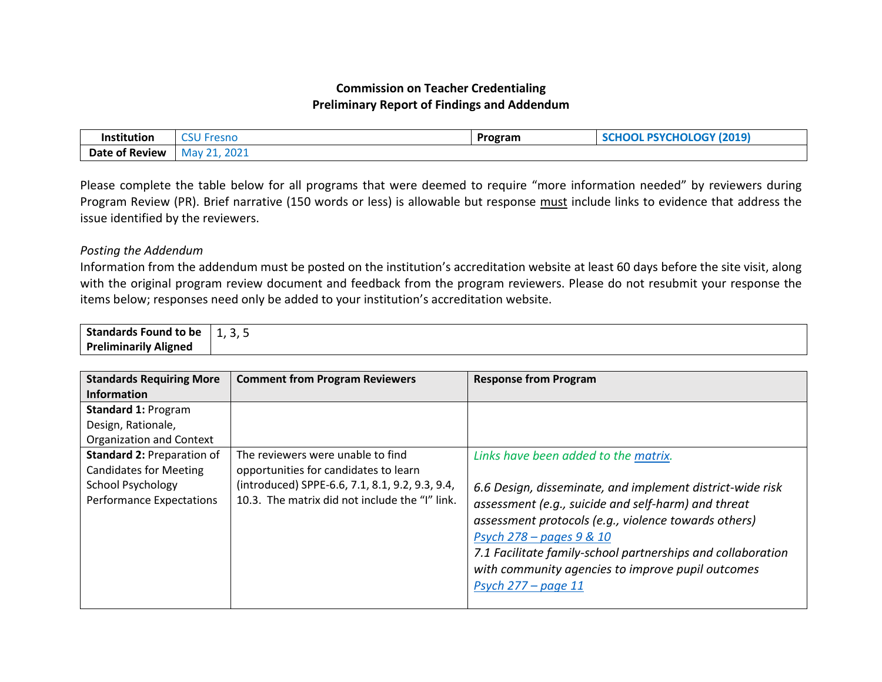## **Commission on Teacher Credentialing Preliminary Report of Findings and Addendum**

| Institution    | $\sim$ $\sim$ $\sim$<br>' Fresnc | Program | <b>PSYCHOLOGY (2019)</b> |
|----------------|----------------------------------|---------|--------------------------|
| Date of Review | 2021<br>. Mav                    |         |                          |

Please complete the table below for all programs that were deemed to require "more information needed" by reviewers during Program Review (PR). Brief narrative (150 words or less) is allowable but response must include links to evidence that address the issue identified by the reviewers.

## *Posting the Addendum*

Information from the addendum must be posted on the institution's accreditation website at least 60 days before the site visit, along with the original program review document and feedback from the program reviewers. Please do not resubmit your response the items below; responses need only be added to your institution's accreditation website.

| <b>Standards Found</b>              | -    |
|-------------------------------------|------|
| ∣ to be                             | ر, ب |
| <b>Preliminarily Aligned</b><br>. . |      |

| <b>Standards Requiring More</b><br><b>Information</b>                                                                             | <b>Comment from Program Reviewers</b>                                                                                                                                           | <b>Response from Program</b>                                                                                                                                                                                                                                                                                                                                                                       |
|-----------------------------------------------------------------------------------------------------------------------------------|---------------------------------------------------------------------------------------------------------------------------------------------------------------------------------|----------------------------------------------------------------------------------------------------------------------------------------------------------------------------------------------------------------------------------------------------------------------------------------------------------------------------------------------------------------------------------------------------|
| <b>Standard 1: Program</b><br>Design, Rationale,<br><b>Organization and Context</b>                                               |                                                                                                                                                                                 |                                                                                                                                                                                                                                                                                                                                                                                                    |
| <b>Standard 2: Preparation of</b><br><b>Candidates for Meeting</b><br><b>School Psychology</b><br><b>Performance Expectations</b> | The reviewers were unable to find<br>opportunities for candidates to learn<br>(introduced) SPPE-6.6, 7.1, 8.1, 9.2, 9.3, 9.4,<br>10.3. The matrix did not include the "I" link. | Links have been added to the matrix.<br>6.6 Design, disseminate, and implement district-wide risk<br>assessment (e.g., suicide and self-harm) and threat<br>assessment protocols (e.g., violence towards others)<br><b>Psych 278 – pages 9 &amp; 10</b><br>7.1 Facilitate family-school partnerships and collaboration<br>with community agencies to improve pupil outcomes<br>Psych 277 - page 11 |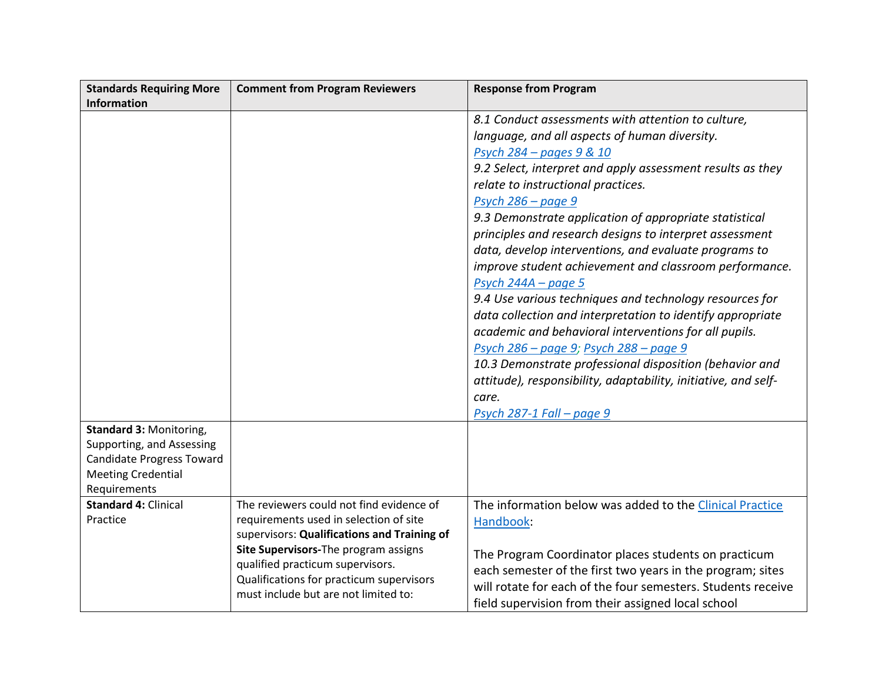| <b>Standards Requiring More</b>  | <b>Comment from Program Reviewers</b>                                            | <b>Response from Program</b>                                   |
|----------------------------------|----------------------------------------------------------------------------------|----------------------------------------------------------------|
| Information                      |                                                                                  |                                                                |
|                                  |                                                                                  | 8.1 Conduct assessments with attention to culture,             |
|                                  |                                                                                  | language, and all aspects of human diversity.                  |
|                                  |                                                                                  | Psych 284 – pages 9 & 10                                       |
|                                  |                                                                                  | 9.2 Select, interpret and apply assessment results as they     |
|                                  |                                                                                  | relate to instructional practices.                             |
|                                  |                                                                                  | Psych 286 - page 9                                             |
|                                  |                                                                                  | 9.3 Demonstrate application of appropriate statistical         |
|                                  |                                                                                  | principles and research designs to interpret assessment        |
|                                  |                                                                                  | data, develop interventions, and evaluate programs to          |
|                                  |                                                                                  | improve student achievement and classroom performance.         |
|                                  |                                                                                  | Psych $244A - page 5$                                          |
|                                  |                                                                                  | 9.4 Use various techniques and technology resources for        |
|                                  |                                                                                  | data collection and interpretation to identify appropriate     |
|                                  |                                                                                  | academic and behavioral interventions for all pupils.          |
|                                  |                                                                                  | Psych 286 – page 9; Psych 288 – page 9                         |
|                                  |                                                                                  | 10.3 Demonstrate professional disposition (behavior and        |
|                                  |                                                                                  | attitude), responsibility, adaptability, initiative, and self- |
|                                  |                                                                                  | care.                                                          |
|                                  |                                                                                  | Psych 287-1 Fall - page 9                                      |
| Standard 3: Monitoring,          |                                                                                  |                                                                |
| Supporting, and Assessing        |                                                                                  |                                                                |
| <b>Candidate Progress Toward</b> |                                                                                  |                                                                |
| <b>Meeting Credential</b>        |                                                                                  |                                                                |
| Requirements                     |                                                                                  |                                                                |
| <b>Standard 4: Clinical</b>      | The reviewers could not find evidence of                                         | The information below was added to the Clinical Practice       |
| Practice                         | requirements used in selection of site                                           | Handbook:                                                      |
|                                  | supervisors: Qualifications and Training of                                      |                                                                |
|                                  | Site Supervisors-The program assigns                                             | The Program Coordinator places students on practicum           |
|                                  | qualified practicum supervisors.                                                 | each semester of the first two years in the program; sites     |
|                                  | Qualifications for practicum supervisors<br>must include but are not limited to: | will rotate for each of the four semesters. Students receive   |
|                                  |                                                                                  | field supervision from their assigned local school             |